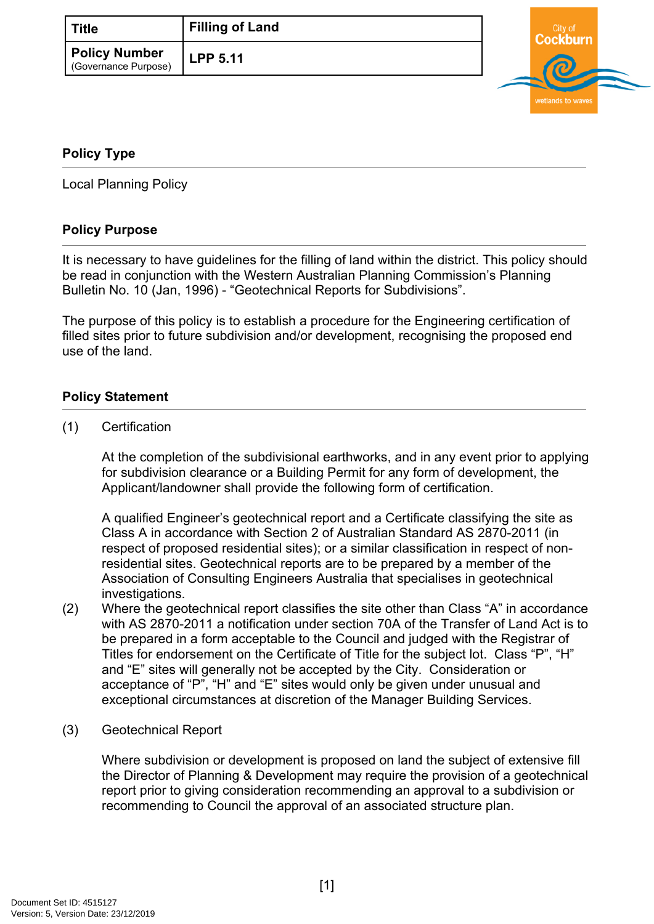| l Title                                      | <b>Filling of Land</b> |
|----------------------------------------------|------------------------|
| <b>Policy Number</b><br>(Governance Purpose) | <b>LPP 5.11</b>        |



## <span id="page-0-0"></span>**[Policy Type](#page-0-0)**

Local Planning Policy

## **Policy Purpose**

It is necessary to have guidelines for the filling of land within the district. This policy should be read in conjunction with the Western Australian Planning Commission's Planning Bulletin No. 10 (Jan, 1996) - "Geotechnical Reports for Subdivisions".

The purpose of this policy is to establish a procedure for the Engineering certification of filled sites prior to future subdivision and/or development, recognising the proposed end use of the land.

## **Policy Statement**

(1) Certification

At the completion of the subdivisional earthworks, and in any event prior to applying for subdivision clearance or a Building Permit for any form of development, the Applicant/landowner shall provide the following form of certification.

A qualified Engineer's geotechnical report and a Certificate classifying the site as Class A in accordance with Section 2 of Australian Standard AS 2870-2011 (in respect of proposed residential sites); or a similar classification in respect of nonresidential sites. Geotechnical reports are to be prepared by a member of the Association of Consulting Engineers Australia that specialises in geotechnical investigations.

- (2) Where the geotechnical report classifies the site other than Class "A" in accordance with AS 2870-2011 a notification under section 70A of the Transfer of Land Act is to be prepared in a form acceptable to the Council and judged with the Registrar of Titles for endorsement on the Certificate of Title for the subject lot. Class "P", "H" and "E" sites will generally not be accepted by the City. Consideration or acceptance of "P", "H" and "E" sites would only be given under unusual and exceptional circumstances at discretion of the Manager Building Services.
- (3) Geotechnical Report

Where subdivision or development is proposed on land the subject of extensive fill the Director of Planning & Development may require the provision of a geotechnical report prior to giving consideration recommending an approval to a subdivision or recommending to Council the approval of an associated structure plan.